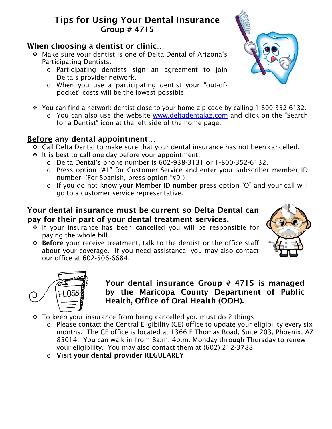# Tips for Using Your Dental Insurance Group # 4715

## When choosing a dentist or clinic…

- Make sure your dentist is one of Delta Dental of Arizona's Participating Dentists.
	- o Participating dentists sign an agreement to join Delta's provider network.
	- o When you use a participating dentist your "out-ofpocket" costs will be the lowest possible.
- \* You can find a network dentist close to your home zip code by calling 1-800-352-6132.
	- o You can also use the website [www.deltadentalaz.com](http://www.deltadentalaz.com/) and click on the "Search for a Dentist" icon at the left side of the home page.

# Before any dental appointment…

- Call Delta Dental to make sure that your dental insurance has not been cancelled.
- $\cdot$  It is best to call one day before your appointment.
	- o Delta Dental's phone number is 602-938-3131 or 1-800-352-6132.
	- o Press option "#1" for Customer Service and enter your subscriber member ID number. (For Spanish, press option "#9")
	- o If you do not know your Member ID number press option "O" and your call will go to a customer service representative.

## Your dental insurance must be current so Delta Dental can pay for their part of your dental treatment services.

- \* If your insurance has been cancelled you will be responsible for paying the whole bill.
- ◆ Before your receive treatment, talk to the dentist or the office staff about your coverage. If you need assistance, you may also contact our office at 602-506-6684.



- $\div$  To keep your insurance from being cancelled you must do 2 things:
	- o Please contact the Central Eligibility (CE) office to update your eligibility every six months. The CE office is located at 1366 E Thomas Road, Suite 203, Phoenix, AZ 85014. You can walk-in from 8a.m.-4p.m. Monday through Thursday to renew your eligibility. You may also contact them at (602) 212-3788.
	- o Visit your dental provider REGULARLY!